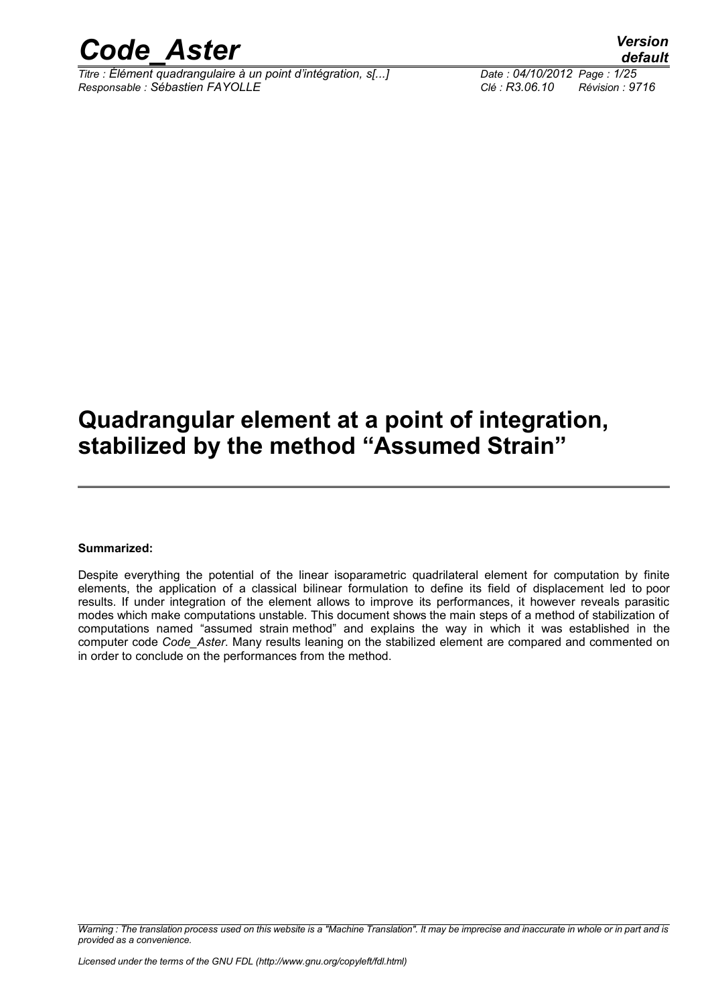

*Titre : Élément quadrangulaire à un point d'intégration, s[...] Date : 04/10/2012 Page : 1/25 Responsable : Sébastien FAYOLLE Clé : R3.06.10 Révision : 9716*

*default*

### **Quadrangular element at a point of integration, stabilized by the method "Assumed Strain"**

#### **Summarized:**

Despite everything the potential of the linear isoparametric quadrilateral element for computation by finite elements, the application of a classical bilinear formulation to define its field of displacement led to poor results. If under integration of the element allows to improve its performances, it however reveals parasitic modes which make computations unstable. This document shows the main steps of a method of stabilization of computations named "assumed strain method" and explains the way in which it was established in the computer code *Code\_Aster*. Many results leaning on the stabilized element are compared and commented on in order to conclude on the performances from the method.

*Warning : The translation process used on this website is a "Machine Translation". It may be imprecise and inaccurate in whole or in part and is provided as a convenience.*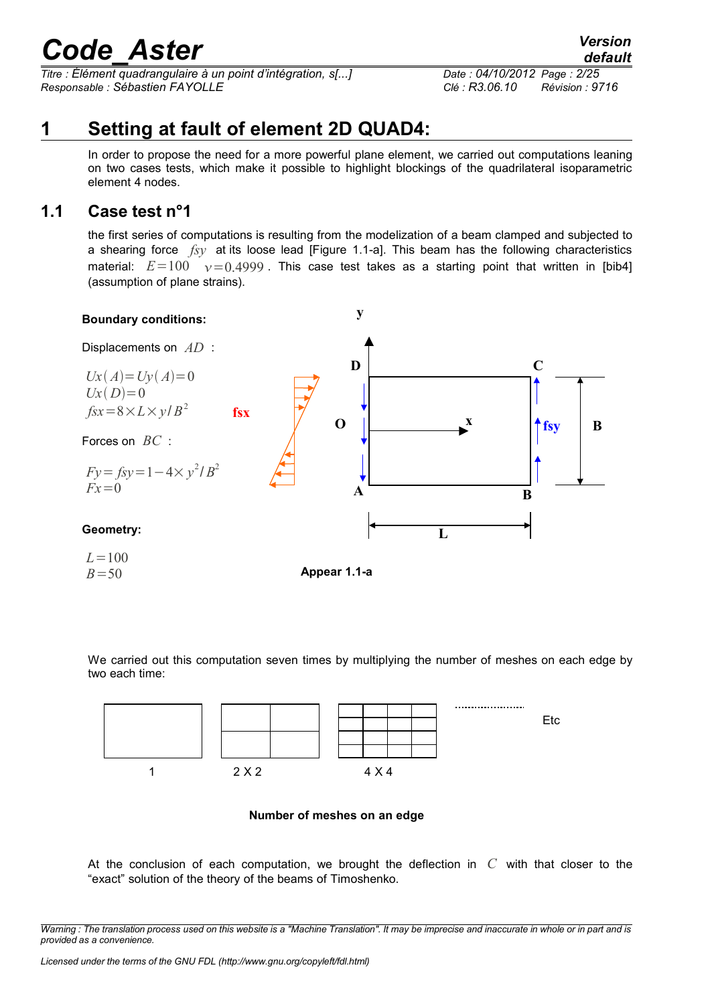*Titre : Élément quadrangulaire à un point d'intégration, s[...] Date : 04/10/2012 Page : 2/25 Responsable : Sébastien FAYOLLE Clé : R3.06.10 Révision : 9716*

### **1 Setting at fault of element 2D QUAD4:**

In order to propose the need for a more powerful plane element, we carried out computations leaning on two cases tests, which make it possible to highlight blockings of the quadrilateral isoparametric element 4 nodes.

### **1.1 Case test n°1**

the first series of computations is resulting from the modelization of a beam clamped and subjected to a shearing force *fsy* at its loose lead [Figure 1.1-a]. This beam has the following characteristics material:  $E=100 \quad y=0.4999$ . This case test takes as a starting point that written in [bib4] (assumption of plane strains).



We carried out this computation seven times by multiplying the number of meshes on each edge by two each time:



#### **Number of meshes on an edge**

At the conclusion of each computation, we brought the deflection in *C* with that closer to the "exact" solution of the theory of the beams of Timoshenko.

*Warning : The translation process used on this website is a "Machine Translation". It may be imprecise and inaccurate in whole or in part and is provided as a convenience.*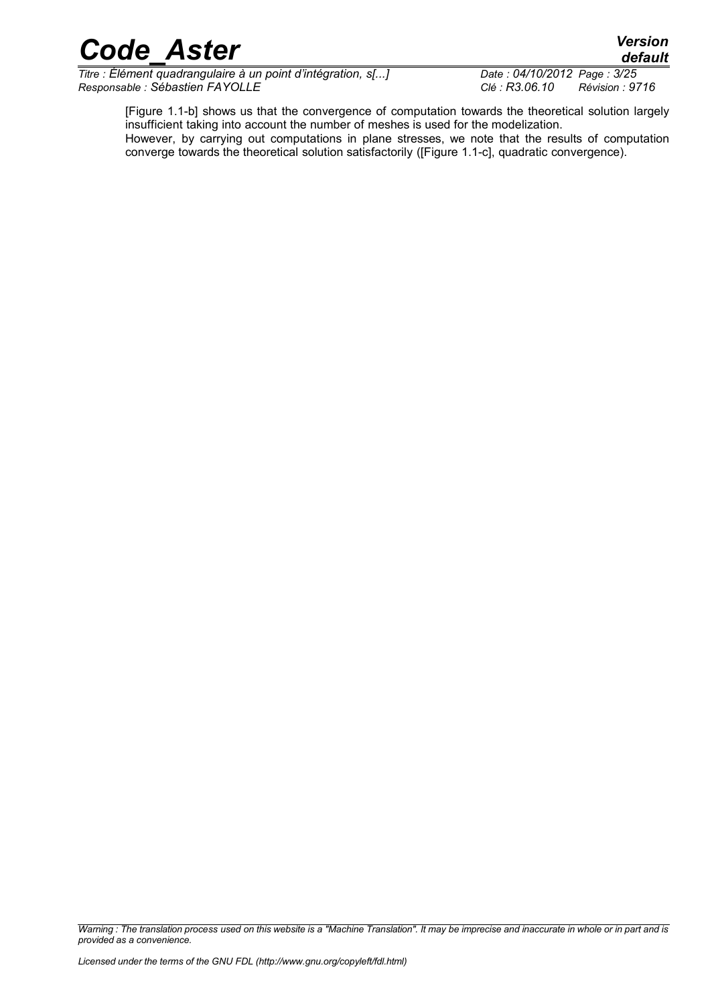*Titre : Élément quadrangulaire à un point d'intégration, s[...] Date : 04/10/2012 Page : 3/25 Responsable : Sébastien FAYOLLE Clé : R3.06.10 Révision : 9716*

[Figure 1.1-b] shows us that the convergence of computation towards the theoretical solution largely insufficient taking into account the number of meshes is used for the modelization.

However, by carrying out computations in plane stresses, we note that the results of computation converge towards the theoretical solution satisfactorily ([Figure 1.1-c], quadratic convergence).

*Warning : The translation process used on this website is a "Machine Translation". It may be imprecise and inaccurate in whole or in part and is provided as a convenience.*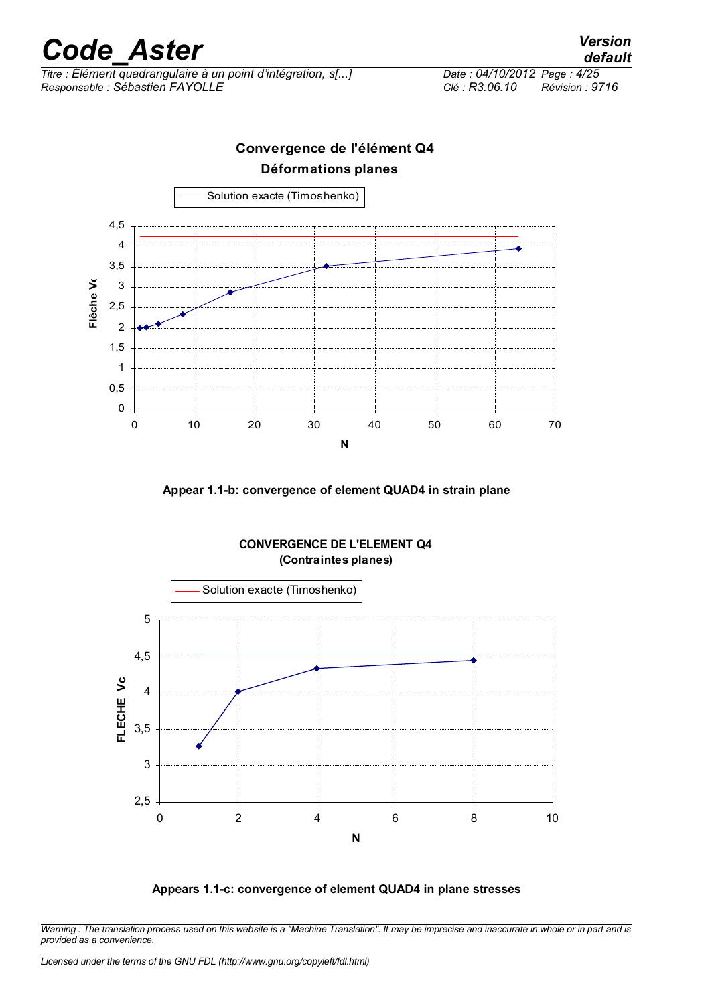*Titre : Élément quadrangulaire à un point d'intégration, s[...] Date : 04/10/2012 Page : 4/25 Responsable : Sébastien FAYOLLE Clé : R3.06.10 Révision : 9716*

### **Convergence de l'élément Q4 (Déformation plane) Déformations planes** Solution exacte (Timoshenko) 4,5 4 3,5 **Flêche Vc**  Flêche Vo 3 2,5 2 1,5 1 0,5 0 0 10 20 30 40 50 60 70 **N**

**Appear 1.1-b: convergence of element QUAD4 in strain plane**



#### **CONVERGENCE DE L'ELEMENT Q4 (Contraintes planes)**

#### **Appears 1.1-c: convergence of element QUAD4 in plane stresses**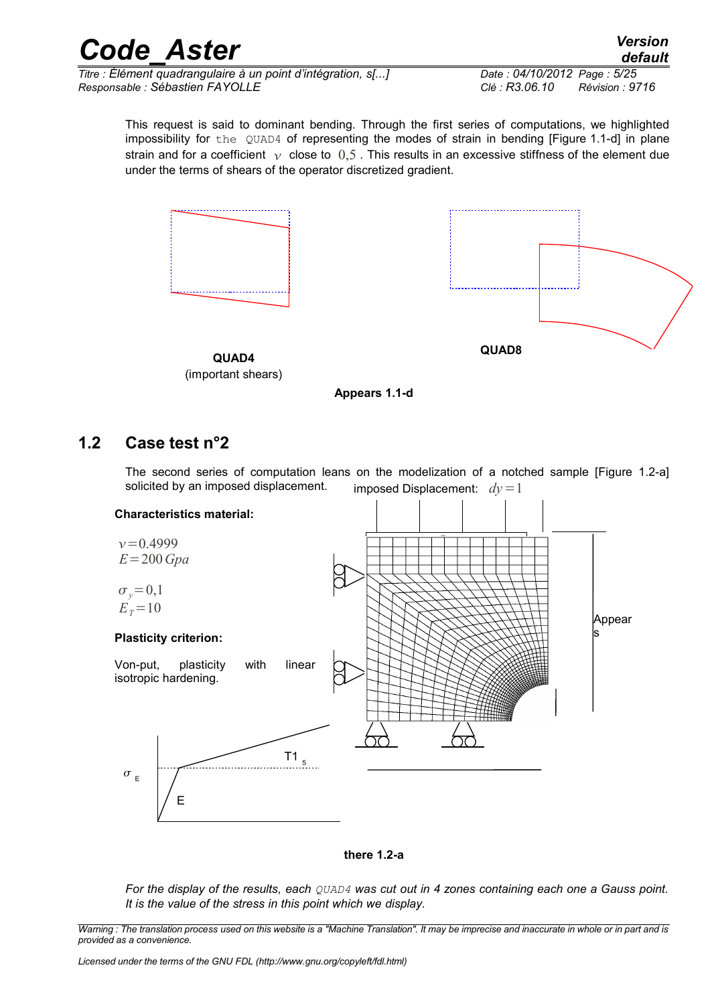*Titre : Élément quadrangulaire à un point d'intégration, s[...] Date : 04/10/2012 Page : 5/25 Responsable : Sébastien FAYOLLE Clé : R3.06.10 Révision : 9716*

This request is said to dominant bending. Through the first series of computations, we highlighted impossibility for the QUAD4 of representing the modes of strain in bending [Figure 1.1-d] in plane strain and for a coefficient  $\gamma$  close to 0,5. This results in an excessive stiffness of the element due under the terms of shears of the operator discretized gradient.





**QUAD4** (important shears)

**Appears 1.1-d**

### **1.2 Case test n°2**

imposed Displacement:  $dy = 1$ The second series of computation leans on the modelization of a notched sample [Figure 1.2-a] solicited by an imposed displacement.





*For the display of the results, each QUAD4 was cut out in 4 zones containing each one a Gauss point. It is the value of the stress in this point which we display.*

*Licensed under the terms of the GNU FDL (http://www.gnu.org/copyleft/fdl.html)*

*Warning : The translation process used on this website is a "Machine Translation". It may be imprecise and inaccurate in whole or in part and is provided as a convenience.*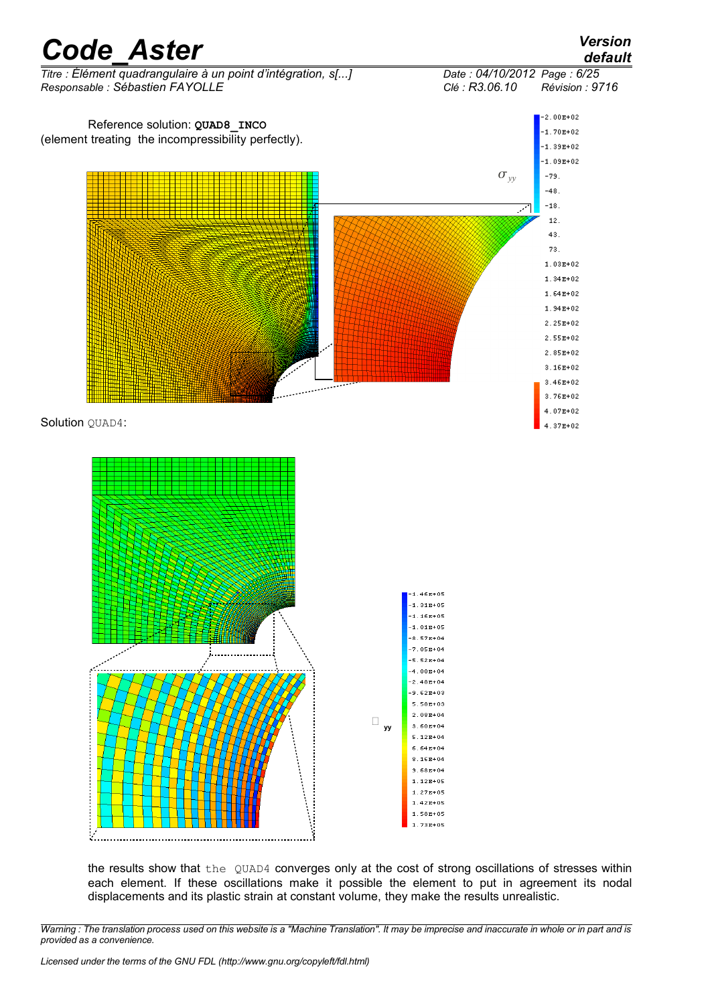

the results show that the QUAD4 converges only at the cost of strong oscillations of stresses within each element. If these oscillations make it possible the element to put in agreement its nodal displacements and its plastic strain at constant volume, they make the results unrealistic.

*Warning : The translation process used on this website is a "Machine Translation". It may be imprecise and inaccurate in whole or in part and is provided as a convenience.*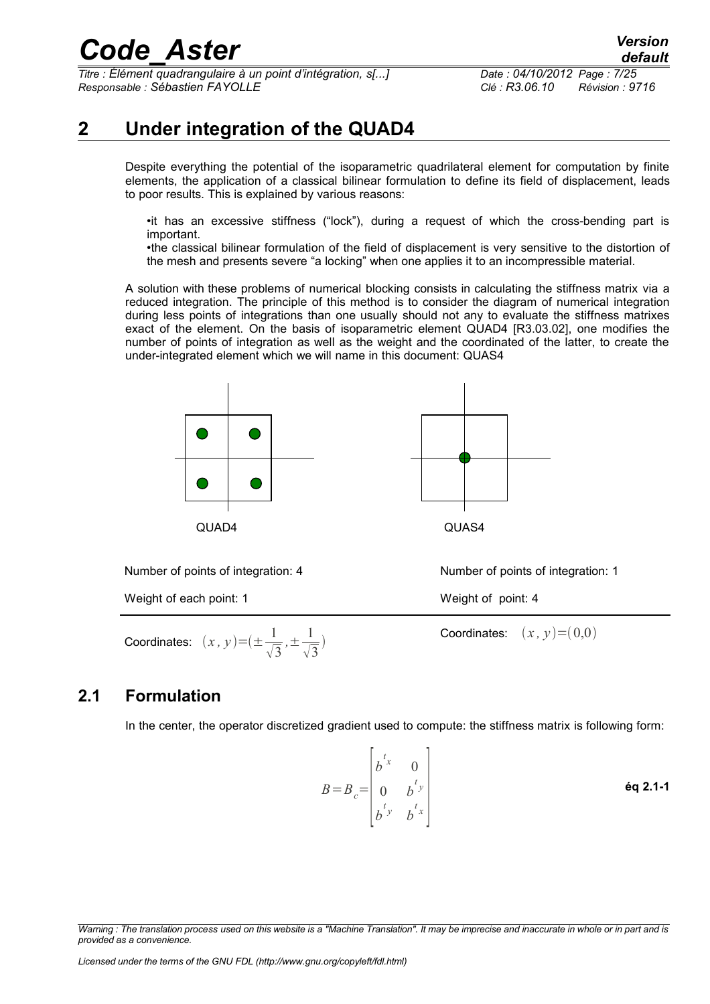*Titre : Élément quadrangulaire à un point d'intégration, s[...] Date : 04/10/2012 Page : 7/25 Responsable : Sébastien FAYOLLE Clé : R3.06.10 Révision : 9716*

### **2 Under integration of the QUAD4**

Despite everything the potential of the isoparametric quadrilateral element for computation by finite elements, the application of a classical bilinear formulation to define its field of displacement, leads to poor results. This is explained by various reasons:

•it has an excessive stiffness ("lock"), during a request of which the cross-bending part is important.

•the classical bilinear formulation of the field of displacement is very sensitive to the distortion of the mesh and presents severe "a locking" when one applies it to an incompressible material.

A solution with these problems of numerical blocking consists in calculating the stiffness matrix via a reduced integration. The principle of this method is to consider the diagram of numerical integration during less points of integrations than one usually should not any to evaluate the stiffness matrixes exact of the element. On the basis of isoparametric element QUAD4 [R3.03.02], one modifies the number of points of integration as well as the weight and the coordinated of the latter, to create the under-integrated element which we will name in this document: QUAS4





Number of points of integration: 4 Number of points of integration: 1

Weight of each point: 1 Weight of point: 4

Coordinates:  $(x, y) = (\pm \frac{1}{\sqrt{2}})$  $\sqrt{3}$  $, \pm \frac{1}{6}$  $\sqrt{3}$  $\big)$ 

Coordinates:  $(x, y) = (0,0)$ 

### **2.1 Formulation**

In the center, the operator discretized gradient used to compute: the stiffness matrix is following form:

$$
B = B_c = \begin{vmatrix} b^{t_x} & 0 \\ 0 & b^{t_y} \\ b^{t_y} & b^{t_x} \end{vmatrix}
$$

*Warning : The translation process used on this website is a "Machine Translation". It may be imprecise and inaccurate in whole or in part and is provided as a convenience.*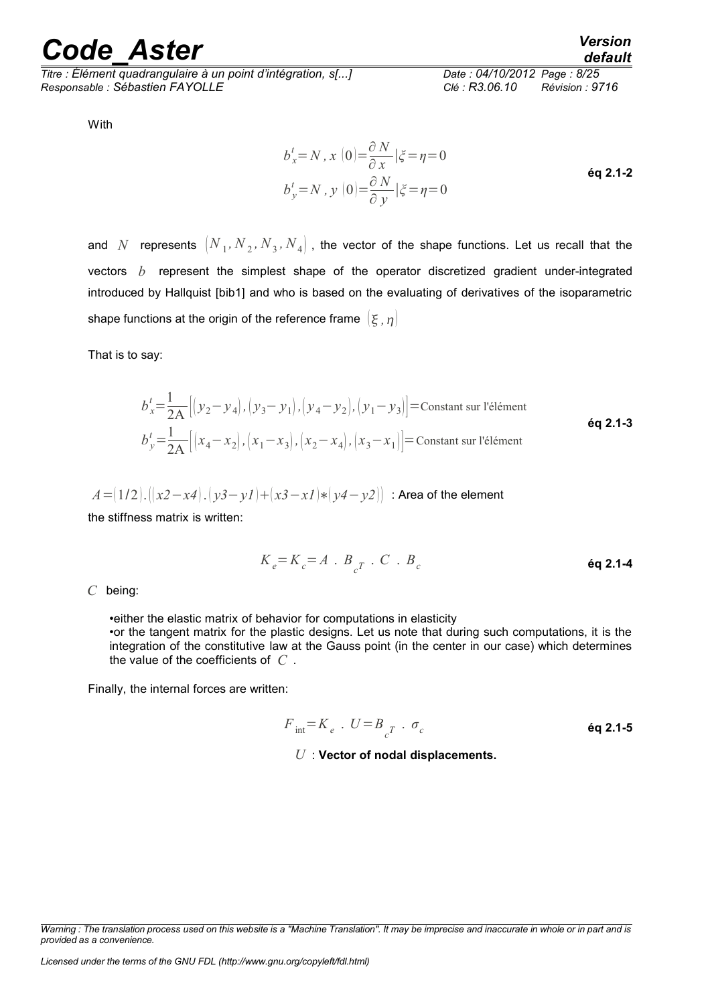*Titre : Élément quadrangulaire à un point d'intégration, s[...] Date : 04/10/2012 Page : 8/25 Responsable : Sébastien FAYOLLE Clé : R3.06.10 Révision : 9716*

With

$$
b_x^t = N, x(0) = \frac{\partial N}{\partial x} | \xi = \eta = 0
$$
  
\n
$$
b_y^t = N, y(0) = \frac{\partial N}{\partial y} | \xi = \eta = 0
$$
  
\n**6q 2.1-2**

and  $N$  represents  $\left({N}_{{}_1}, {N}_{{}_2}, {N}_{{}_3}, {N}_{{}_4}\right)$  , the vector of the shape functions. Let us recall that the vectors *b* represent the simplest shape of the operator discretized gradient under-integrated introduced by Hallquist [bib1] and who is based on the evaluating of derivatives of the isoparametric shape functions at the origin of the reference frame  $(\xi, \eta)$ 

That is to say:

$$
b_x^t = \frac{1}{2A} \left[ \left( y_2 - y_4 \right), \left( y_3 - y_1 \right), \left( y_4 - y_2 \right), \left( y_1 - y_3 \right) \right] = \text{Constant sur l'élément}
$$
\n
$$
b_y^t = \frac{1}{2A} \left[ \left( x_4 - x_2 \right), \left( x_1 - x_3 \right), \left( x_2 - x_4 \right), \left( x_3 - x_1 \right) \right] = \text{Constant sur l'élément}
$$
\n
$$
\text{éq 2.1-3}
$$

$$
A = (1/2) \cdot ((x^2 - x^4) \cdot (y^3 - y^1) + (x^3 - x^1) * (y^4 - y^2))
$$
: Area of the element

the stiffness matrix is written:

$$
K_e = K_c = A \cdot B_{c} \cdot C \cdot B_c
$$

*C* being:

•either the elastic matrix of behavior for computations in elasticity •or the tangent matrix for the plastic designs. Let us note that during such computations, it is the integration of the constitutive law at the Gauss point (in the center in our case) which determines the value of the coefficients of *C* .

Finally, the internal forces are written:

$$
F_{int} = K_e \cdot U = B_{c^T} \cdot \sigma_c
$$
éq 2.1-5  
U : Vector of nodal displacements.

*Warning : The translation process used on this website is a "Machine Translation". It may be imprecise and inaccurate in whole or in part and is provided as a convenience.*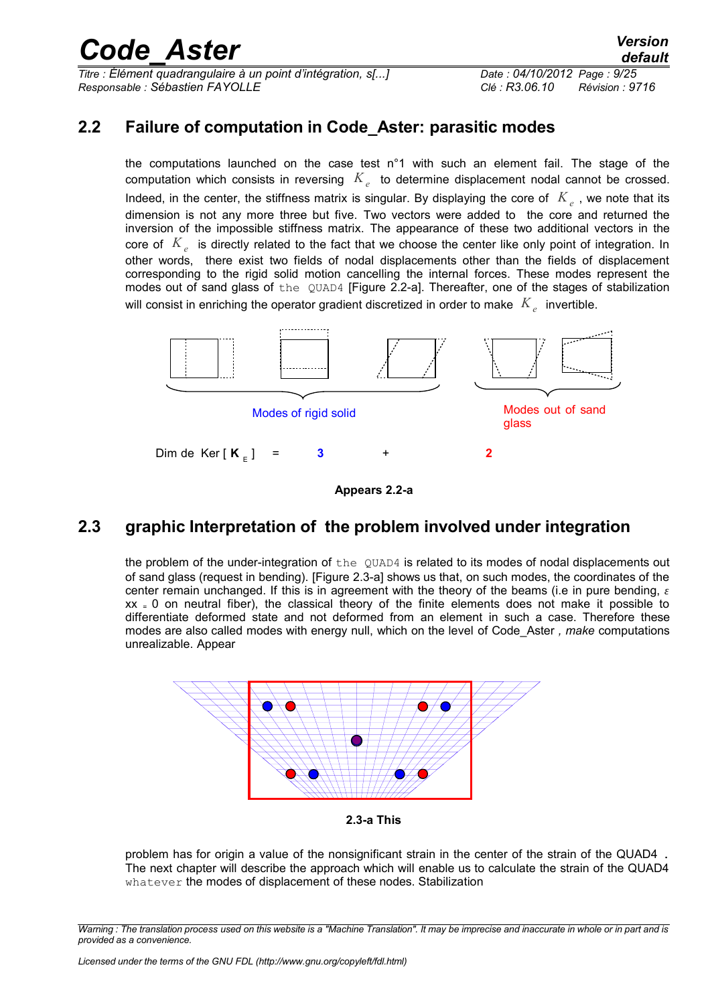*Titre : Élément quadrangulaire à un point d'intégration, s[...] Date : 04/10/2012 Page : 9/25 Responsable : Sébastien FAYOLLE Clé : R3.06.10 Révision : 9716*

### **2.2 Failure of computation in Code\_Aster: parasitic modes**

the computations launched on the case test n°1 with such an element fail. The stage of the computation which consists in reversing *K<sup>e</sup>* to determine displacement nodal cannot be crossed. Indeed, in the center, the stiffness matrix is singular. By displaying the core of  $|K_{e}|$ , we note that its dimension is not any more three but five. Two vectors were added to the core and returned the inversion of the impossible stiffness matrix. The appearance of these two additional vectors in the core of *K<sup>e</sup>* is directly related to the fact that we choose the center like only point of integration. In other words, there exist two fields of nodal displacements other than the fields of displacement corresponding to the rigid solid motion cancelling the internal forces. These modes represent the modes out of sand glass of the QUAD4 [Figure 2.2-a]. Thereafter, one of the stages of stabilization will consist in enriching the operator gradient discretized in order to make  $\left. K_{\textit{e}}\right.$  invertible.



**Appears 2.2-a**

### **2.3 graphic Interpretation of the problem involved under integration**

the problem of the under-integration of the QUAD4 is related to its modes of nodal displacements out of sand glass (request in bending). [Figure 2.3-a] shows us that, on such modes, the coordinates of the center remain unchanged. If this is in agreement with the theory of the beams (i.e in pure bending,  $\varepsilon$  $xx = 0$  on neutral fiber), the classical theory of the finite elements does not make it possible to differentiate deformed state and not deformed from an element in such a case. Therefore these modes are also called modes with energy null, which on the level of Code\_Aster *, make* computations unrealizable. Appear



**2.3-a This**

problem has for origin a value of the nonsignificant strain in the center of the strain of the QUAD4 . The next chapter will describe the approach which will enable us to calculate the strain of the QUAD4 whatever the modes of displacement of these nodes. Stabilization

*Warning : The translation process used on this website is a "Machine Translation". It may be imprecise and inaccurate in whole or in part and is provided as a convenience.*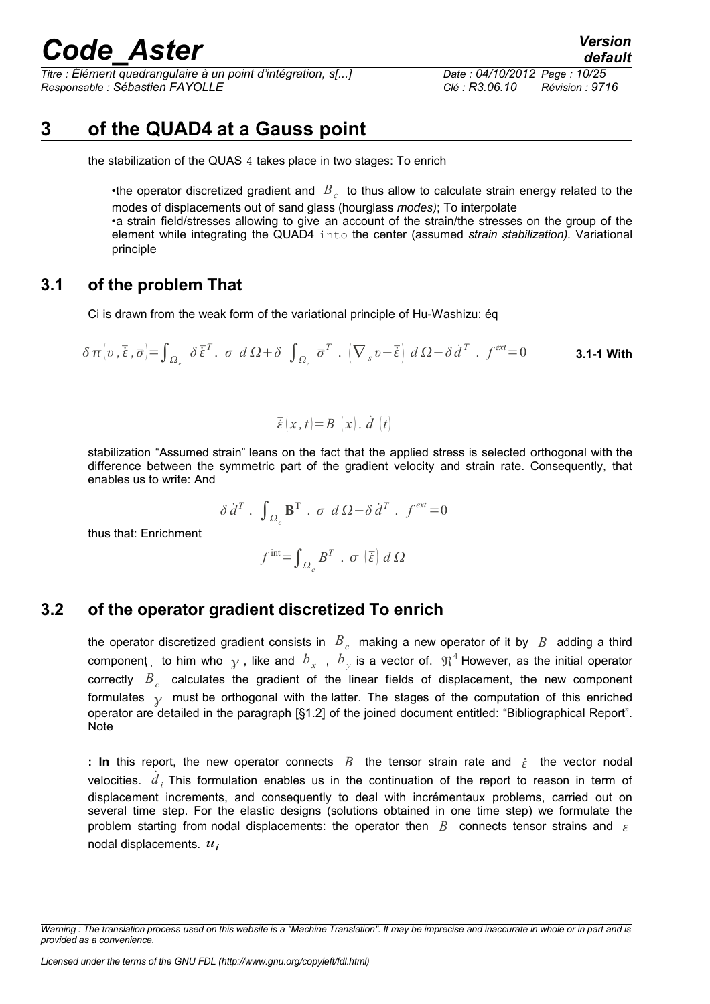*Titre : Élément quadrangulaire à un point d'intégration, s[...] Date : 04/10/2012 Page : 10/25 Responsable : Sébastien FAYOLLE Clé : R3.06.10 Révision : 9716*

### **3 of the QUAD4 at a Gauss point**

the stabilization of the QUAS 4 takes place in two stages: To enrich

•the operator discretized gradient and  $\overline{B}_c^c$  to thus allow to calculate strain energy related to the modes of displacements out of sand glass (hourglass *modes)*; To interpolate •a strain field/stresses allowing to give an account of the strain/the stresses on the group of the element while integrating the QUAD4 into the center (assumed *strain stabilization).* Variational principle

#### **3.1 of the problem That**

Ci is drawn from the weak form of the variational principle of Hu-Washizu: éq

$$
\delta \pi \left(v, \overline{\xi}, \overline{\sigma}\right) = \int_{\Omega_{\epsilon}} \delta \overline{\xi}^{T}. \quad \sigma \ d \Omega + \delta \int_{\Omega_{\epsilon}} \overline{\sigma}^{T}. \left(\nabla_{s} v - \overline{\xi}\right) d \Omega - \delta \dot{d}^{T}. \quad f^{\text{ext}} = 0 \tag{3.1-1}
$$

$$
\overline{\dot{\varepsilon}}(x,t)=B(x),\,\dot{d}(t)
$$

stabilization "Assumed strain" leans on the fact that the applied stress is selected orthogonal with the difference between the symmetric part of the gradient velocity and strain rate. Consequently, that enables us to write: And

$$
\delta \, \dot{d}^T \cdot \int_{\Omega_{\varepsilon}} \mathbf{B}^T \cdot \sigma \, d\Omega - \delta \, \dot{d}^T \cdot f^{ext} = 0
$$

thus that: Enrichment

$$
f^{\text{int}}\text{=}\int_{\varOmega_e}B^T\text{ . }\sigma\left(\overline{\overline{\varepsilon}}\right)d\varOmega
$$

#### **3.2 of the operator gradient discretized To enrich**

the operator discretized gradient consists in  $|B|_c$  making a new operator of it by  $|B|$  adding a third component b him who  $\gamma$  , like and  $\,b_{\,x}\,$  ,  $\,b_{\,y}$  is a vector of.  $\,\mathfrak{R}^{\,4}$  However, as the initial operator correctly  $B_{c}$  calculates the gradient of the linear fields of displacement, the new component formulates  $\gamma$  must be orthogonal with the latter. The stages of the computation of this enriched operator are detailed in the paragraph [§1.2] of the joined document entitled: "Bibliographical Report". **Note** 

**:** In this report, the new operator connects  $B$  the tensor strain rate and  $\dot{\varepsilon}$  the vector nodal velocities.  $\dot{d}_i$  This formulation enables us in the continuation of the report to reason in term of displacement increments, and consequently to deal with incrémentaux problems, carried out on several time step. For the elastic designs (solutions obtained in one time step) we formulate the problem starting from nodal displacements: the operator then  $B$  connects tensor strains and  $\varepsilon$ nodal displacements. *u<sup>i</sup>*

*Warning : The translation process used on this website is a "Machine Translation". It may be imprecise and inaccurate in whole or in part and is provided as a convenience.*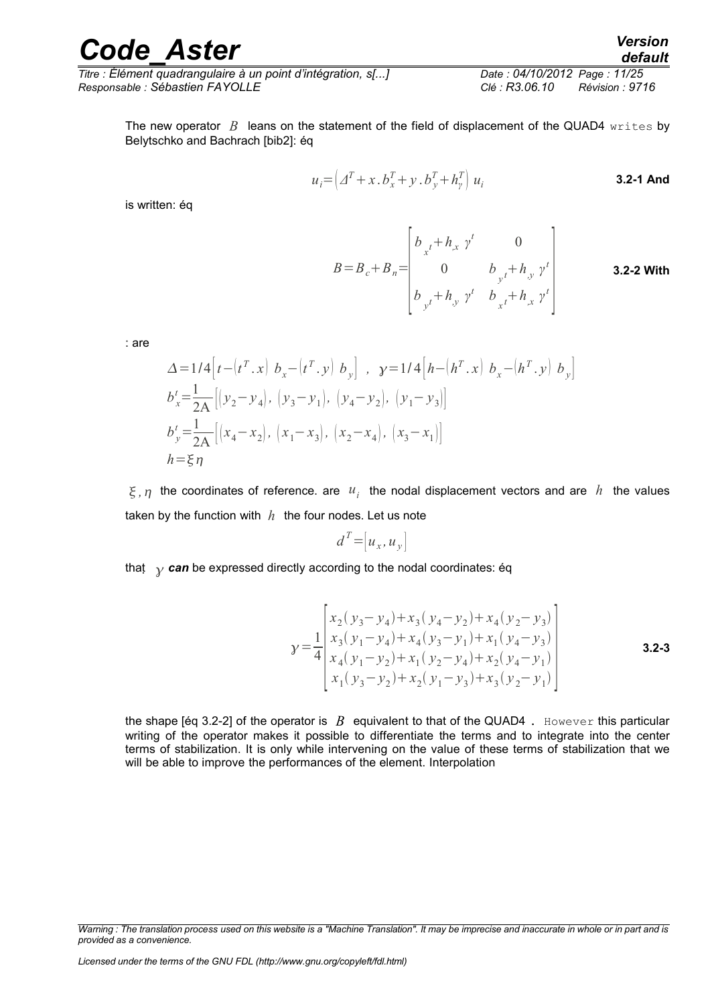#### *Code\_Aster Version default*

*Titre : Élément quadrangulaire à un point d'intégration, s[...] Date : 04/10/2012 Page : 11/25 Responsable : Sébastien FAYOLLE Clé : R3.06.10 Révision : 9716*

The new operator  $B$  leans on the statement of the field of displacement of the QUAD4 writes by Belytschko and Bachrach [bib2]: éq

$$
u_i = \left(\Delta^T + x \cdot b_x^T + y \cdot b_y^T + h_y^T\right) u_i
$$
 **3.2-1 And**

is written: éq

 $B=B_c+B_n=$  $\lfloor b \rfloor$  $b_{x}t + h_{,x} \gamma^{t}$  0 0  $b_{y^t} + h_{y^t} \gamma^t$  $b_{y}t + h_{y}v^{t}$   $b_{x}t + h_{,x}v^{t}$ **3.2-2 With**

: are

$$
\Delta = 1/4 \Big[ t - (t^T \cdot x) b_x - (t^T \cdot y) b_y \Big], \quad y = 1/4 \Big[ h - (h^T \cdot x) b_x - (h^T \cdot y) b_y \Big]
$$
  
\n
$$
b_x' = \frac{1}{2A} \Big[ (y_2 - y_4), (y_3 - y_1), (y_4 - y_2), (y_1 - y_3) \Big]
$$
  
\n
$$
b_y' = \frac{1}{2A} \Big[ (x_4 - x_2), (x_1 - x_3), (x_2 - x_4), (x_3 - x_1) \Big]
$$
  
\n
$$
h = \xi \eta
$$

 $\xi$ ,  $\eta$  the coordinates of reference. are  $u_i$  the nodal displacement vectors and are  $\bar{h}$  the values taken by the function with *h* the four nodes. Let us note

$$
d^T = [u_x, u_y]
$$

that  $\gamma$  can be expressed directly according to the nodal coordinates: éq

$$
\gamma = \frac{1}{4} \begin{bmatrix} x_2(y_3 - y_4) + x_3(y_4 - y_2) + x_4(y_2 - y_3) \\ x_3(y_1 - y_4) + x_4(y_3 - y_1) + x_1(y_4 - y_3) \\ x_4(y_1 - y_2) + x_1(y_2 - y_4) + x_2(y_4 - y_1) \\ x_1(y_3 - y_2) + x_2(y_1 - y_3) + x_3(y_2 - y_1) \end{bmatrix}
$$
 **3.2-3**

the shape [éq 3.2-2] of the operator is  $\overline{B}$  equivalent to that of the QUAD4. However this particular writing of the operator makes it possible to differentiate the terms and to integrate into the center terms of stabilization. It is only while intervening on the value of these terms of stabilization that we will be able to improve the performances of the element. Interpolation

*Warning : The translation process used on this website is a "Machine Translation". It may be imprecise and inaccurate in whole or in part and is provided as a convenience.*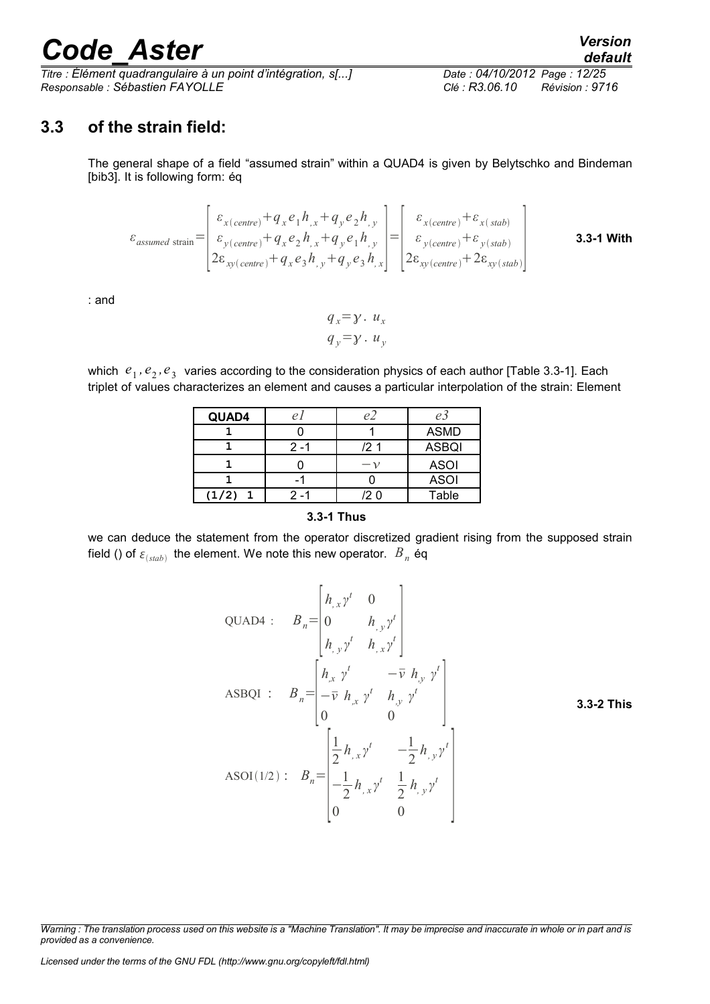*Titre : Élément quadrangulaire à un point d'intégration, s[...] Date : 04/10/2012 Page : 12/25 Responsable : Sébastien FAYOLLE Clé : R3.06.10 Révision : 9716*

### **3.3 of the strain field:**

The general shape of a field "assumed strain" within a QUAD4 is given by Belytschko and Bindeman [bib3]. It is following form: éq

$$
\varepsilon_{assumed\ strain} = \begin{bmatrix} \varepsilon_{x(centre)} + q_x e_1 h_{,x} + q_y e_2 h_{,y} \\ \varepsilon_{y(centre)} + q_x e_2 h_{,x} + q_y e_1 h_{,y} \\ 2\varepsilon_{x(y(centre)} + q_x e_3 h_{,y} + q_y e_3 h_{,x} \end{bmatrix} = \begin{bmatrix} \varepsilon_{x(centre)} + \varepsilon_{x(stab)} \\ \varepsilon_{y(centre)} + \varepsilon_{y(stab)} \\ 2\varepsilon_{x(y(centre)} + 2\varepsilon_{x(y(slab)} \end{bmatrix}
$$
 **3.3-1 With**

: and

$$
q_x = \gamma \cdot u_x
$$
  
 
$$
q_y = \gamma \cdot u_y
$$

which  $e_1$ ,  $e_2$ ,  $e_3$  varies according to the consideration physics of each author [Table 3.3-1]. Each triplet of values characterizes an element and causes a particular interpolation of the strain: Element

| QUAD4 |      | e'     | e3           |
|-------|------|--------|--------------|
|       |      |        | <b>ASMD</b>  |
|       | 2 -1 | /2 1   | <b>ASBQI</b> |
|       |      | $-\nu$ | <b>ASOI</b>  |
|       |      |        | <b>ASOI</b>  |
| (1/2) |      | '2 O   | Table        |

#### **3.3-1 Thus**

we can deduce the statement from the operator discretized gradient rising from the supposed strain field () of  $\varepsilon_{\textit{(stab)}}$  the element. We note this new operator.  $\textit{B}_n$  éq

QUADA: 
$$
B_n = \begin{bmatrix} h_{,x}y^t & 0 \\ 0 & h_{,y}y^t \\ h_{,y}y^t & h_{,x}y^t \end{bmatrix}
$$
  
ASBQI :  $B_n = \begin{bmatrix} h_{,x}y^t & -\overline{v} & h_{,y}y^t \\ -\overline{v} & h_{,x}y^t & h_{,y}y^t \\ 0 & 0 \end{bmatrix}$   
ASOI(1/2):  $B_n = \begin{bmatrix} \frac{1}{2}h_{,x}y^t & -\frac{1}{2}h_{,y}y^t \\ -\frac{1}{2}h_{,x}y^t & \frac{1}{2}h_{,y}y^t \\ 0 & 0 \end{bmatrix}$ 

*Warning : The translation process used on this website is a "Machine Translation". It may be imprecise and inaccurate in whole or in part and is provided as a convenience.*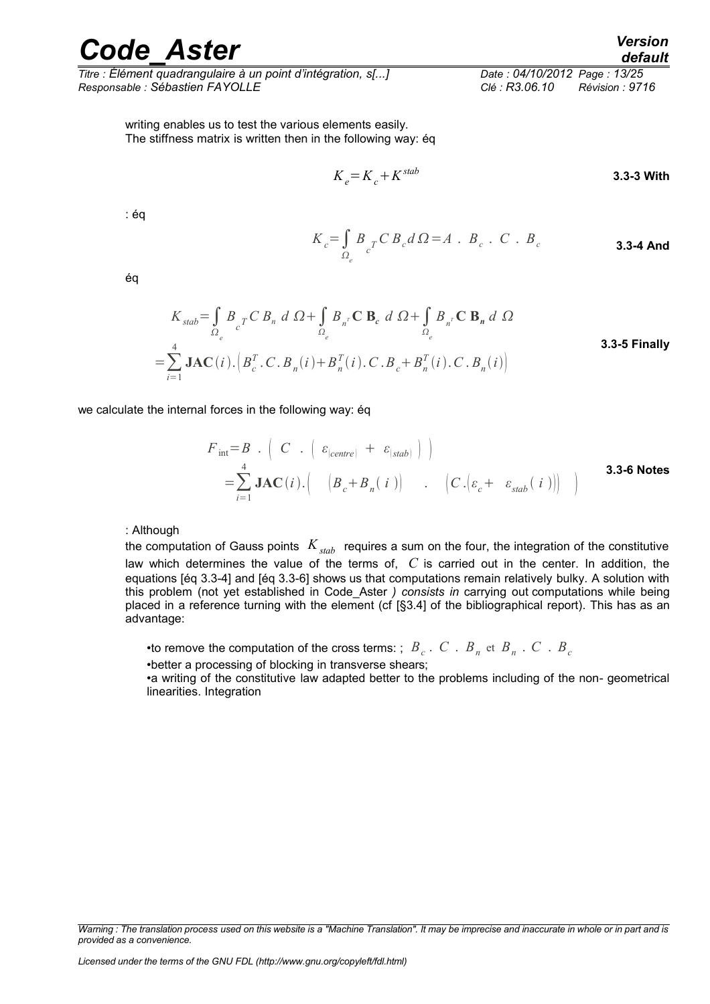*Titre : Élément quadrangulaire à un point d'intégration, s[...] Date : 04/10/2012 Page : 13/25 Responsable : Sébastien FAYOLLE Clé : R3.06.10 Révision : 9716*

writing enables us to test the various elements easily. The stiffness matrix is written then in the following way: éq

$$
K_e = K_c + K^{stab}
$$
 3.3-3 With

: éq

*<sup>K</sup>c*<sup>=</sup>∫  $\Omega_e$  $B_{c}^{T} C B_{c} d \Omega = A$  .  $B_{c}$  .  $C$  .  $B_{c}$  **3.3-4 And** 

éq

$$
K_{stab} = \int_{\Omega_e} B_{cT} C B_n d\Omega + \int_{\Omega_e} B_{n} C B_c d\Omega + \int_{\Omega_e} B_{n} C B_n d\Omega
$$
  
= 
$$
\sum_{i=1}^4 \textbf{JAC}(i) \cdot \left( B_c^T C B_n(i) + B_n^T(i) C B_c + B_n^T(i) C B_n(i) \right)
$$
  
3.3-5 Finally

we calculate the internal forces in the following way: éq

$$
F_{int} = B \cdot \left( C \cdot \left( \varepsilon_{\text{(centre)}} + \varepsilon_{\text{(stab)}} \right) \right)
$$
  
=  $\sum_{i=1}^{4} \mathbf{JAC}(i) \cdot \left( B_{c} + B_{n}(i) \right) \cdot \left( C \cdot \left( \varepsilon_{c} + \varepsilon_{\text{stab}}(i) \right) \right)$  3.3-6 Notes

: Although

the computation of Gauss points *Kstab* requires a sum on the four, the integration of the constitutive law which determines the value of the terms of, *C* is carried out in the center. In addition, the equations [éq 3.3-4] and [éq 3.3-6] shows us that computations remain relatively bulky. A solution with this problem (not yet established in Code\_Aster *) consists in* carrying out computations while being placed in a reference turning with the element (cf [§3.4] of the bibliographical report). This has as an advantage:

•to remove the computation of the cross terms: ;  $\overline{B}_c$  .  $\overline{C}$  .  $\overline{B}_n$  et  $\overline{B}_n$  .  $\overline{C}$  .  $\overline{B}_c$ 

•better a processing of blocking in transverse shears;

•a writing of the constitutive law adapted better to the problems including of the non- geometrical linearities. Integration

*Warning : The translation process used on this website is a "Machine Translation". It may be imprecise and inaccurate in whole or in part and is provided as a convenience.*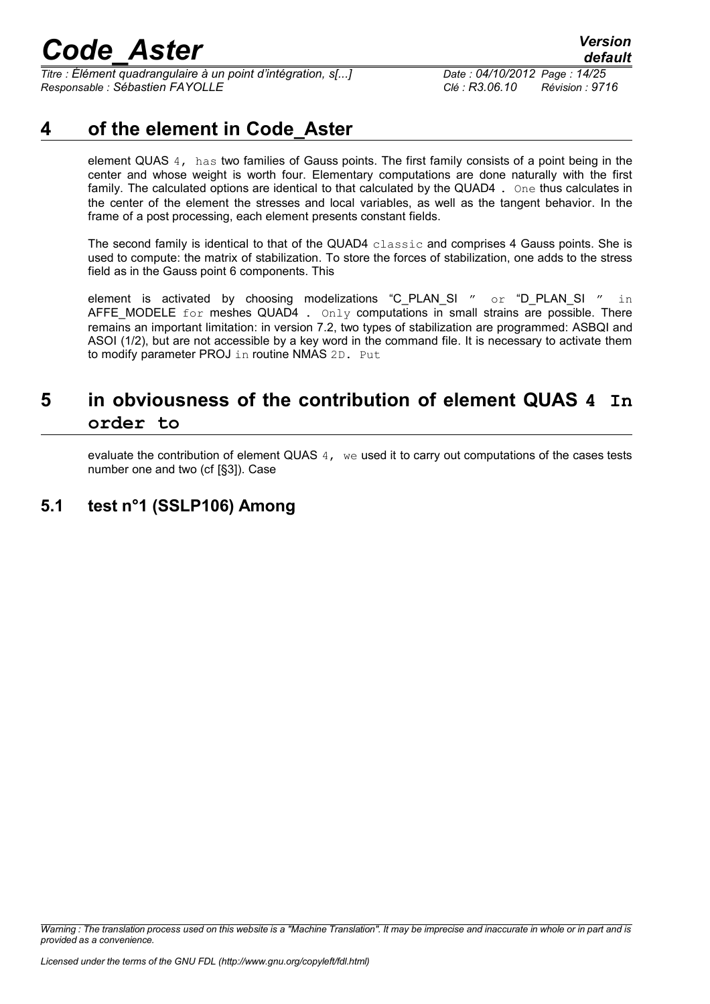*Titre : Élément quadrangulaire à un point d'intégration, s[...] Date : 04/10/2012 Page : 14/25 Responsable : Sébastien FAYOLLE Clé : R3.06.10 Révision : 9716*

### **4 of the element in Code\_Aster**

element QUAS 4, has two families of Gauss points. The first family consists of a point being in the center and whose weight is worth four. Elementary computations are done naturally with the first family. The calculated options are identical to that calculated by the QUAD4. One thus calculates in the center of the element the stresses and local variables, as well as the tangent behavior. In the frame of a post processing, each element presents constant fields.

The second family is identical to that of the QUAD4 classic and comprises 4 Gauss points. She is used to compute: the matrix of stabilization. To store the forces of stabilization, one adds to the stress field as in the Gauss point 6 components. This

element is activated by choosing modelizations "C\_PLAN\_SI " or "D\_PLAN\_SI " in AFFE\_MODELE for meshes QUAD4 . Only computations in small strains are possible. There remains an important limitation: in version 7.2, two types of stabilization are programmed: ASBQI and ASOI (1/2), but are not accessible by a key word in the command file. It is necessary to activate them to modify parameter PROJ in routine NMAS 2D. Put

### **5 in obviousness of the contribution of element QUAS 4 In order to**

evaluate the contribution of element QUAS  $4,$  we used it to carry out computations of the cases tests number one and two (cf [§3]). Case

### **5.1 test n°1 (SSLP106) Among**

*Warning : The translation process used on this website is a "Machine Translation". It may be imprecise and inaccurate in whole or in part and is provided as a convenience.*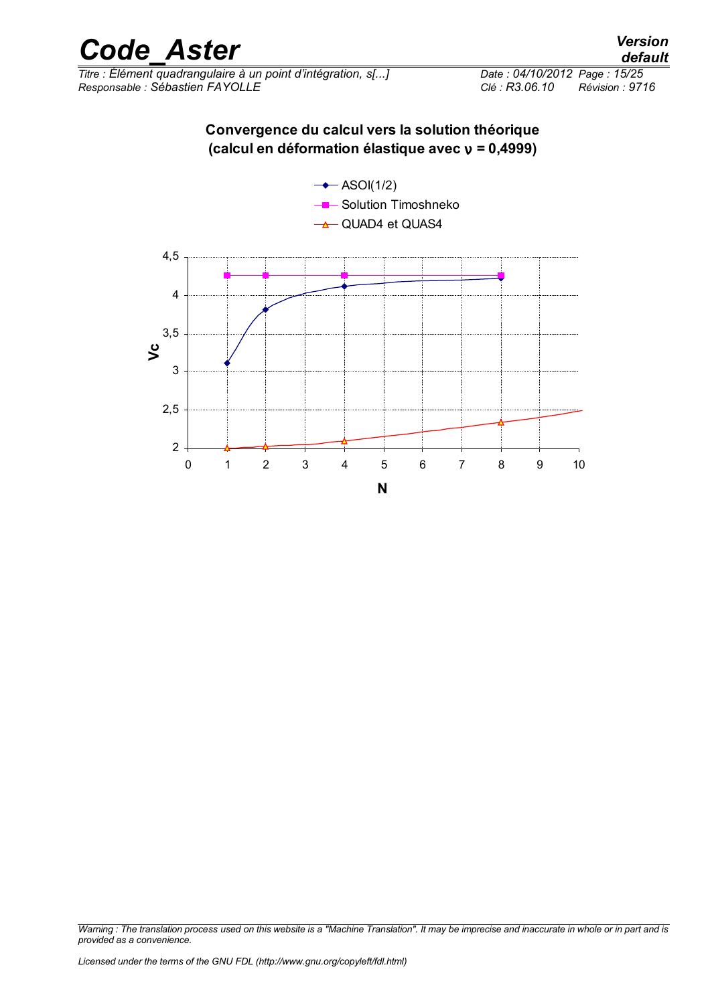

*Titre : Élément quadrangulaire à un point d'intégration, s[...] Responsable : Sébastien FAYOLLE Clé : R3.06.10 Révision : 9716*

#### **Convergence du calcul vers la solution théorique (calcul en déformation élastique avec** ν **= 0,4999)**

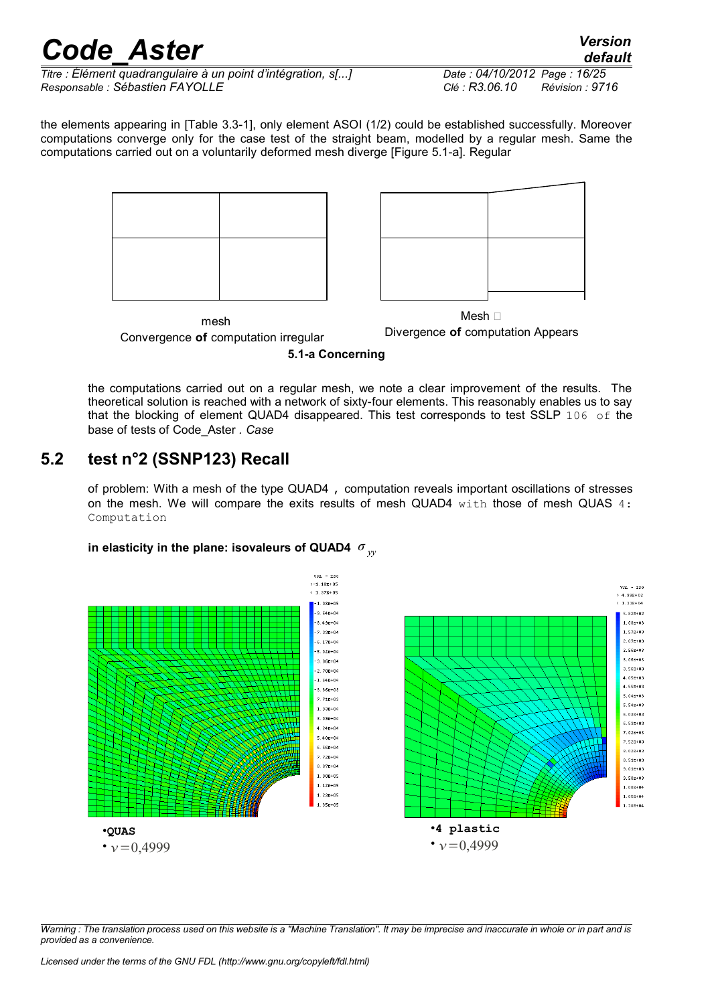*Titre : Élément quadrangulaire à un point d'intégration, s[...] Date : 04/10/2012 Page : 16/25 Responsable : Sébastien FAYOLLE Clé : R3.06.10 Révision : 9716*

*default*

the elements appearing in [Table 3.3-1], only element ASOI (1/2) could be established successfully. Moreover computations converge only for the case test of the straight beam, modelled by a regular mesh. Same the computations carried out on a voluntarily deformed mesh diverge [Figure 5.1-a]. Regular





mesh ¥ Convergence **of** computation irregular

Divergence **of** computation Appears

**5.1-a Concerning**

the computations carried out on a regular mesh, we note a clear improvement of the results. The theoretical solution is reached with a network of sixty-four elements. This reasonably enables us to say that the blocking of element QUAD4 disappeared. This test corresponds to test SSLP 106 of the base of tests of Code\_Aster *. Case*

### **5.2 test n°2 (SSNP123) Recall**

of problem: With a mesh of the type QUAD4 , computation reveals important oscillations of stresses on the mesh. We will compare the exits results of mesh QUAD4  $with$  those of mesh QUAS  $4:$ Computation

### **in elasticity in the plane: isovaleurs of QUAD4** *σ yy*

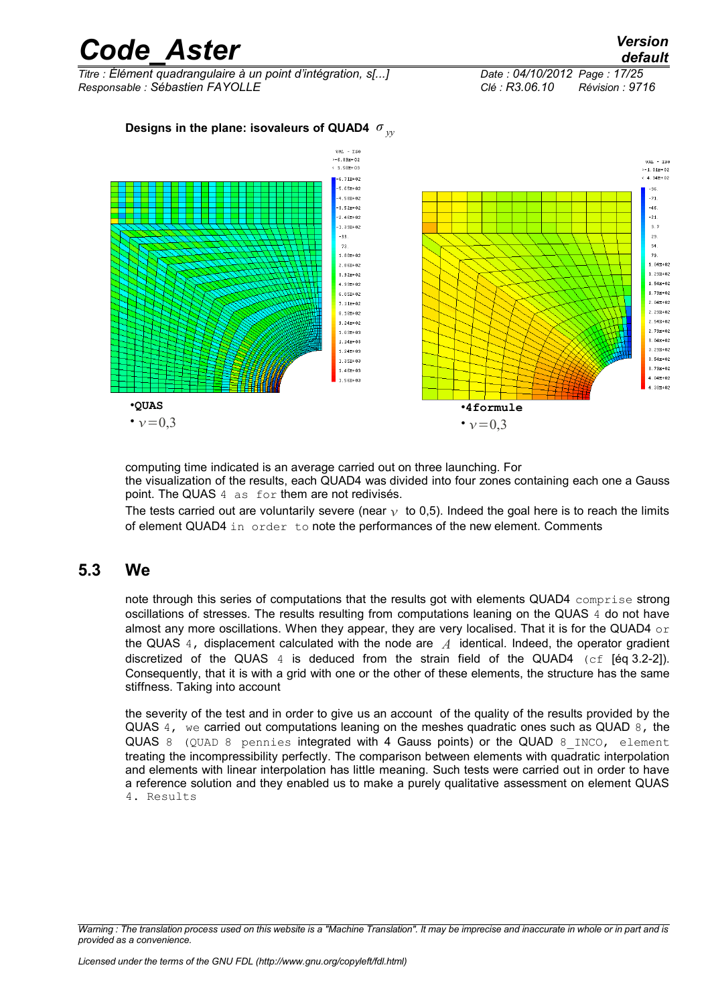| <b>Code Aster</b>                                                                               |                                                                                                                                                                                                                                                                                                                                                                                |                                                                   | <b>Version</b><br>default                                                                                                                                                                                                                                                                                                                   |
|-------------------------------------------------------------------------------------------------|--------------------------------------------------------------------------------------------------------------------------------------------------------------------------------------------------------------------------------------------------------------------------------------------------------------------------------------------------------------------------------|-------------------------------------------------------------------|---------------------------------------------------------------------------------------------------------------------------------------------------------------------------------------------------------------------------------------------------------------------------------------------------------------------------------------------|
| Titre : Élément quadrangulaire à un point d'intégration, s[]<br>Responsable : Sébastien FAYOLLE |                                                                                                                                                                                                                                                                                                                                                                                | Date: 04/10/2012 Page: 17/25<br>Clé : R3.06.10<br>Révision : 9716 |                                                                                                                                                                                                                                                                                                                                             |
| Designs in the plane: isovaleurs of QUAD4 $\sigma_{_{\mathcal{W}}}$                             |                                                                                                                                                                                                                                                                                                                                                                                |                                                                   |                                                                                                                                                                                                                                                                                                                                             |
|                                                                                                 | $VAL - ISO$<br>$>-6.89E+02$<br>$4 1.58E + 03$<br>$-6.71E+02$<br>$-5.65E+02$<br>$-4.58E+02$<br>$-3.52E+02$<br>$-2.46E+02$<br>$-1.39E+02$<br>$-33.$<br>73.<br>$1.80E + 02$<br>$2.86E + 02$<br>$3.92E + 02$<br>$4.99E + 02$<br>$6.05E + 02$<br>$7.11E+02$<br>$8.18E + 02$<br>$9.24E + 02$<br>$1.03E + 03$<br>$1.14E + 03$<br>$1.24E + 03$<br>1.35E+03<br>$1.46E + 03$<br>1.56E+03 |                                                                   | $VAL - ISO$<br>$>-1.01E+02$<br>$4.34E+02$<br>$-96.$<br>$-71.$<br>$-46.$<br>$-21.$<br>3.7<br>29.<br>54.<br>79.<br>$1.04E + 02$<br>$1.29E + 02$<br>$1.54E + 02$<br>$1.79E + 02$<br>$2.04E + 02$<br>$2.29E + 02$<br>$2.54E + 02$<br>$2.79E + 02$<br>$3.04E + 02$<br>$3.29E + 02$<br>$3.54E+02$<br>$3.79E + 02$<br>$4.04E + 02$<br>$4.30E + 02$ |
| <b>•QUAS</b>                                                                                    |                                                                                                                                                                                                                                                                                                                                                                                | ·4formule                                                         |                                                                                                                                                                                                                                                                                                                                             |

•  $v = 0.3$ 

computing time indicated is an average carried out on three launching. For the visualization of the results, each QUAD4 was divided into four zones containing each one a Gauss point. The QUAS 4 as for them are not redivisés.

•  $v = 0.3$ 

The tests carried out are voluntarily severe (near  $\gamma$  to 0,5). Indeed the goal here is to reach the limits of element QUAD4 in order to note the performances of the new element. Comments

#### **5.3 We**

note through this series of computations that the results got with elements QUAD4 comprise strong oscillations of stresses. The results resulting from computations leaning on the QUAS 4 do not have almost any more oscillations. When they appear, they are very localised. That it is for the QUAD4  $\circ$  r the QUAS 4, displacement calculated with the node are *A* identical. Indeed, the operator gradient discretized of the QUAS  $4$  is deduced from the strain field of the QUAD4 (cf [éq 3.2-2]). Consequently, that it is with a grid with one or the other of these elements, the structure has the same stiffness. Taking into account

the severity of the test and in order to give us an account of the quality of the results provided by the QUAS 4, we carried out computations leaning on the meshes quadratic ones such as QUAD 8, the QUAS 8 (QUAD 8 pennies integrated with 4 Gauss points) or the QUAD 8\_INCO, element treating the incompressibility perfectly. The comparison between elements with quadratic interpolation and elements with linear interpolation has little meaning. Such tests were carried out in order to have a reference solution and they enabled us to make a purely qualitative assessment on element QUAS 4. Results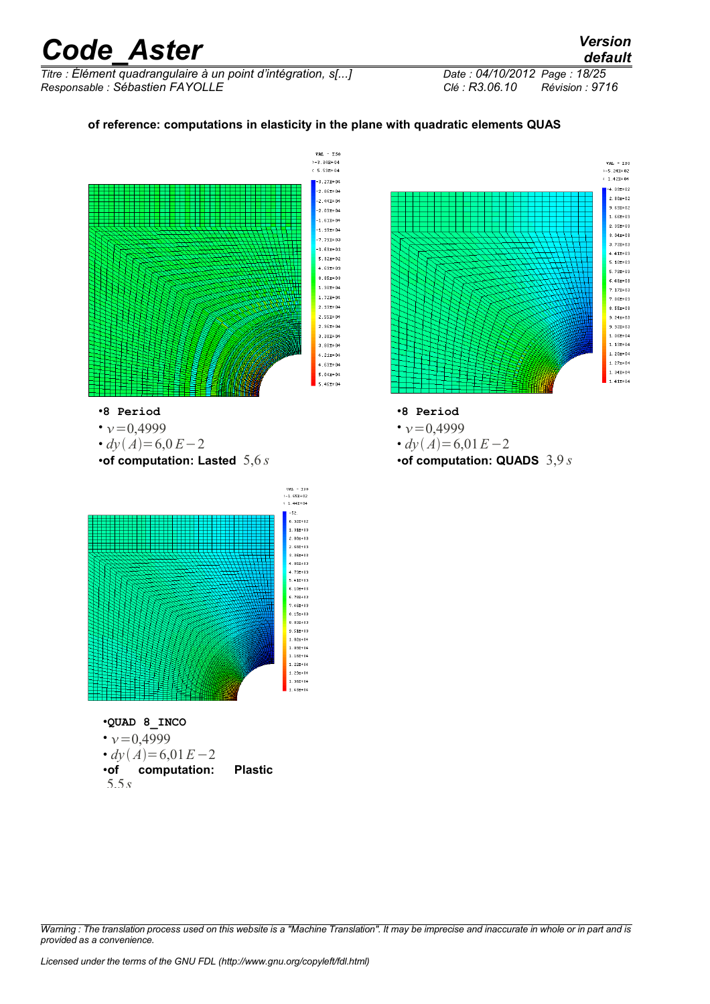*Titre : Élément quadrangulaire à un point d'intégration, s[...] Date : 04/10/2012 Page : 18/25 Responsable : Sébastien FAYOLLE Clé : R3.06.10 Révision : 9716*

#### **of reference: computations in elasticity in the plane with quadratic elements QUAS**



*Warning : The translation process used on this website is a "Machine Translation". It may be imprecise and inaccurate in whole or in part and is provided as a convenience.*

*default*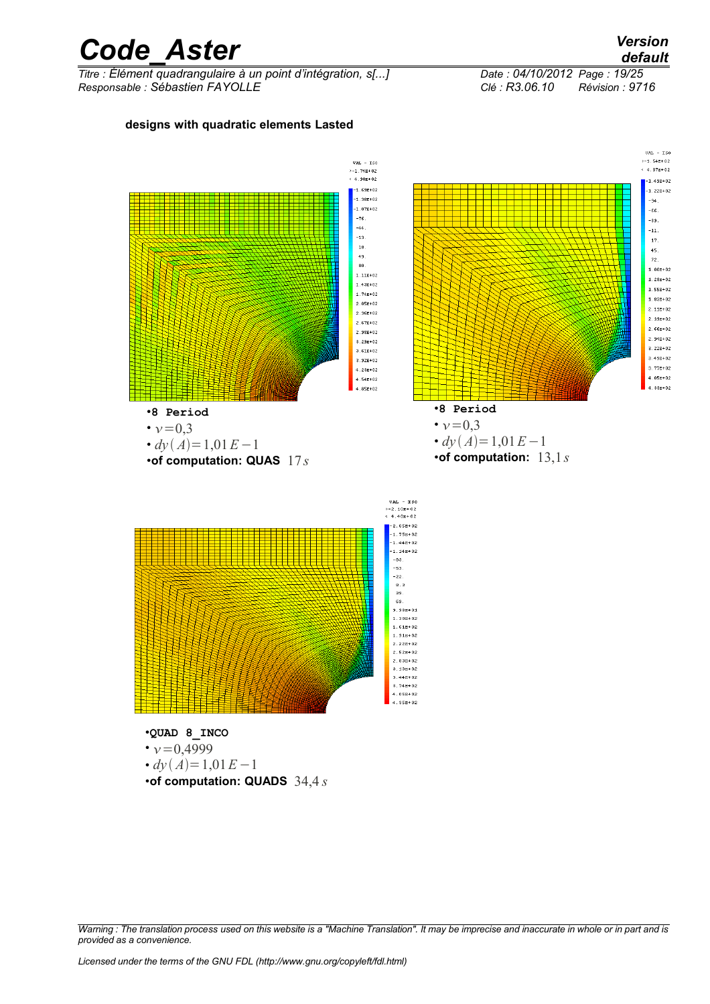*Titre : Élément quadrangulaire à un point d'intégration, s[...] Date : 04/10/2012 Page : 19/25 Responsable : Sébastien FAYOLLE Clé : R3.06.10 Révision : 9716*

**designs with quadratic elements Lasted**

#### $VAL$  - ISO  $>-1.54E+02$  $VAL$  -  $ISO$  $>-1.74E+02$ <br>  $4.90E+02$  $4.37E+02$  $-1.69B + 02$  $-1.38E + 02$  $-1.07E + 02$  $-76$ -44  $-13$ 18  $49$  $\overline{\phantom{a}}$  $1.11E+02$  $1.43E+02$  $1.55E + 02$  $1.74E+02$  $1.83E+02$  $2.058 + 02$  $2.11E+02$  $2.36E+0.2$  $2.39E + 02$  $2.67E+02$  $2.66E+02$  $2.98E + 02$  $2.94E+02$  $3.29E + 02$  $9.519 + 0.2$  $3.92E + 02$  $4.23E + 02$  $4.54E + 02$ .<br>85E+02 •**8 Period** •**8 Period** •  $\nu = 0,3$  $\cdot v = 0.3$ •  $dy(A)=1,01E-1$ •  $d_V(A) = 1,01E-1$ •**of computation:** 13,1*s* •**of computation: QUAS** 17*s*  $VAL$  - ISO<br>>-2.10E+02<br>< 4.40E+02  $-2.05E + 02$  $-1.75E+0.2$ .<br>44E+02  $-1.14E+02$ -83.  $-53$  $-22.$  $8.3$  $rac{8}{39}$



•  $v = 0,4999$ •  $dv(A) = 1,01E-1$ •**of computation: QUADS** 34,4 *s*

*Warning : The translation process used on this website is a "Machine Translation". It may be imprecise and inaccurate in whole or in part and is provided as a convenience.*

 $-1.49E + 02$ 

 $-1.22E + 02$ 

 $.94$ 

-66

 $-39.$ 

 $-11.$ 

 $\bar{1}\bar{7}$ 

 $45.$ 

22.

 $1.00E + 02$ 

 $1.28E + 0.2$ 

 $3.22E + 02$ 

 $3.49E + 02$ 

 $3.77E + 02$ 

 $4.05E + 02$ 

 $4.33E + 02$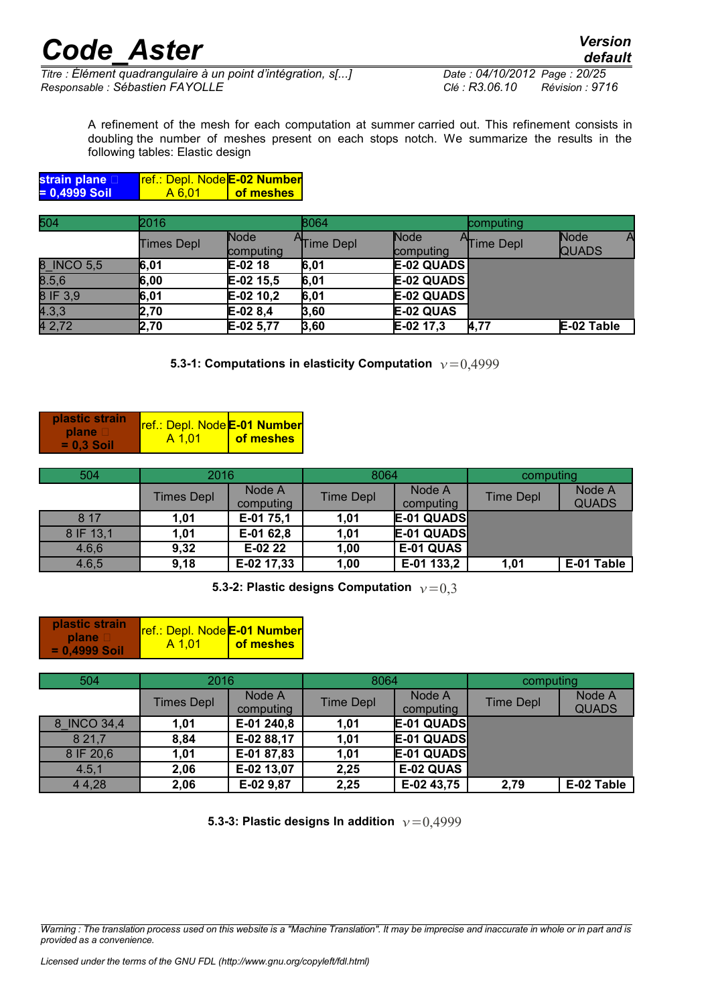*default*

*Titre : Élément quadrangulaire à un point d'intégration, s[...] Date : 04/10/2012 Page : 20/25 Responsable : Sébastien FAYOLLE Clé : R3.06.10 Révision : 9716*

A refinement of the mesh for each computation at summer carried out. This refinement consists in doubling the number of meshes present on each stops notch. We summarize the results in the following tables: Elastic design

| strain plane D | <u> Tref.: Depl. Node E-02 Number</u> |           |
|----------------|---------------------------------------|-----------|
| = 0,4999 Soil  | A 6.01                                | of meshes |

| 504        | 2016       |                   | 8064      |                   | computing |                      |
|------------|------------|-------------------|-----------|-------------------|-----------|----------------------|
|            | Times Depl | Node<br>computing | Time Depl | Node<br>computing | Time Depl | Node<br><b>QUADS</b> |
| 8_INCO 5,5 | 6,01       | $E-0218$          | 6,01      | $E-02$ QUADS      |           |                      |
| 8.5,6      | 6,00       | $E-02$ 15,5       | 6,01      | $E-02$ QUADS      |           |                      |
| 8 IF 3,9   | 6,01       | $E-02$ 10,2       | 6,01      | $E-02$ QUADS      |           |                      |
| 4.3,3      | 2,70       | $E-028,4$         | 3,60      | E-02 QUAS         |           |                      |
| 4 2,72     | 2,70       | E-02 5,77         | 3,60      | E-02 17,3         | 4,77      | E-02 Table           |

**5.3-1: Computations in elasticity Computation**  $v=0.4999$ 

| plastic strain                       | <b>ref.: Depl. Node E-01 Number</b> |           |
|--------------------------------------|-------------------------------------|-----------|
| <b>plane</b> D<br>$\equiv$ 0.3 Soil! | A 1.01                              | of meshes |

| 504       | 2016              |                     | 8064             |                     | computing |                        |
|-----------|-------------------|---------------------|------------------|---------------------|-----------|------------------------|
|           | <b>Times Depl</b> | Node A<br>computing | <b>Time Depl</b> | Node A<br>computing | Time Depl | Node A<br><b>QUADS</b> |
| 8 1 7     | 1,01              | E-01 75,1           | 1,01             | E-01 QUADS          |           |                        |
| 8 IF 13,1 | 1,01              | E-01 62,8           | 1.01             | E-01 QUADS          |           |                        |
| 4.6,6     | 9,32              | $E-0222$            | 1,00             | E-01 QUAS           |           |                        |
| 4.6,5     | 9,18              | E-02 17,33          | 1,00             | E-01 133,2          | 1,01      | E-01 Table             |

**5.3-2: Plastic designs Computation**  $v=0.3$ 

| <b>plastic strain</b> | <b>ref.: Depl. Node E-01 Number</b> |           |
|-----------------------|-------------------------------------|-----------|
| $plane \Box$          | A 1.01                              | of meshes |
| $= 0.4999$ Soil       |                                     |           |

| 504         | 2016              |                     | 8064             |                     | computing |                        |
|-------------|-------------------|---------------------|------------------|---------------------|-----------|------------------------|
|             | <b>Times Depl</b> | Node A<br>computing | <b>Time Depl</b> | Node A<br>computing | Time Depl | Node A<br><b>QUADS</b> |
| 8 INCO 34,4 | 1,01              | E-01 240,8          | 1.01             | E-01 QUADS          |           |                        |
| 8 2 1 , 7   | 8,84              | E-02 88,17          | 1,01             | E-01 QUADS          |           |                        |
| 8 IF 20,6   | 1,01              | E-01 87,83          | 1,01             | E-01 QUADS          |           |                        |
| 4.5,1       | 2,06              | E-02 13,07          | 2,25             | E-02 QUAS           |           |                        |
| 4 4,28      | 2,06              | E-02 9,87           | 2,25             | E-02 43,75          | 2,79      | E-02 Table             |

**5.3-3: Plastic designs In addition**  $v=0.4999$ 

*Warning : The translation process used on this website is a "Machine Translation". It may be imprecise and inaccurate in whole or in part and is provided as a convenience.*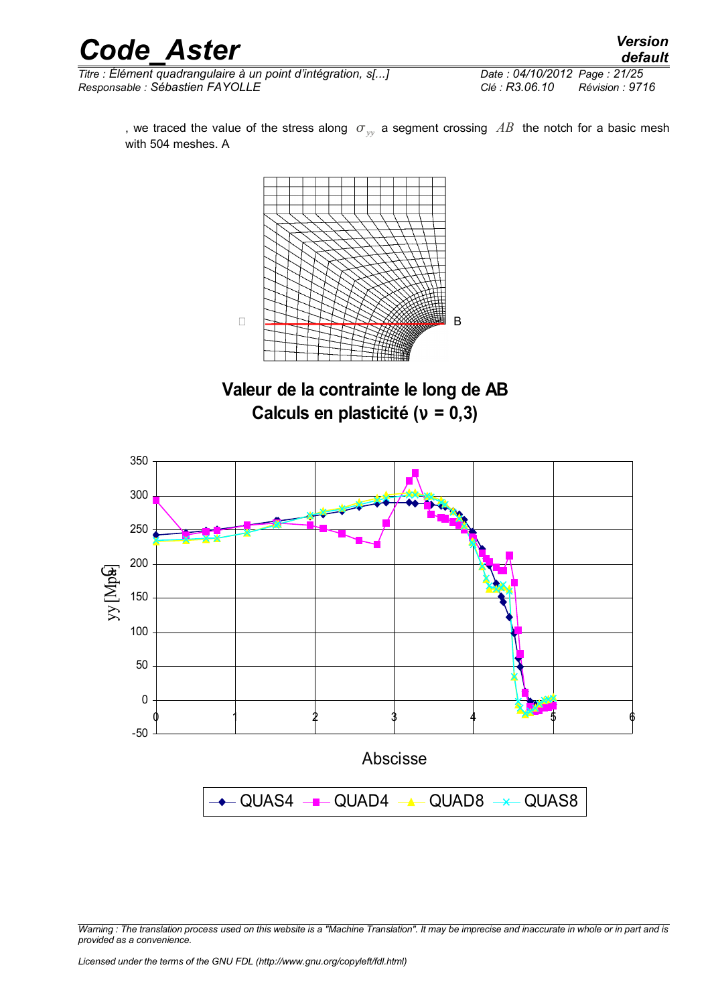*Titre : Élément quadrangulaire à un point d'intégration, s[...] Date : 04/10/2012 Page : 21/25 Responsable : Sébastien FAYOLLE Clé : R3.06.10 Révision : 9716*

, we traced the value of the stress along  $\sigma_{yy}$  a segment crossing AB the notch for a basic mesh with 504 meshes. A



**Valeur de la contrainte le long de AB Calculs en plasticité (**ν **= 0,3)**

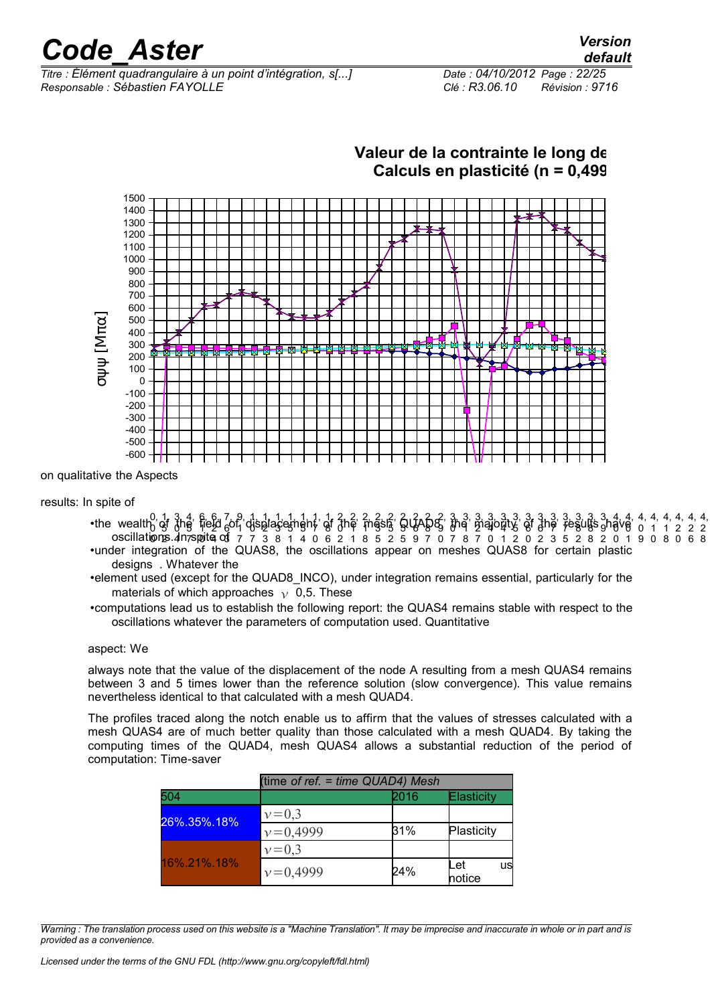*Titre : Élément quadrangulaire à un point d'intégration, s[...] Date : 04/10/2012 Page : 22/25 Responsable : Sébastien FAYOLLE Clé : R3.06.10 Révision : 9716*

| Date: 04/10/2012 Page: 22/25 |                 |
|------------------------------|-----------------|
| Clé : R3.06.10               | Révision : 9716 |

**Valeur de la contrainte le long de** 



on qualitative the Aspects

#### results: In spite of

- •the wealth of  $\frac{1}{6}$  the field  $\frac{2}{6}$  of displacement of the mesh QuAD8, the majority of the results have oscillations.4n rspoite of 7 7 3 8 1 4 0 6 2 1 8 5 2 5 9 7 0 7 8 7 0 1 2 0 2 3 5 2 8 2 0 1 9 0 8 0 6 8 •under integration of the QUAS8, the oscillations appear on meshes QUAS8 for certain plastic Abscisse designs . Whatever the 0 1, 5 3, 0 4, 5 6, 1 6, 2 7, 6 9, 1 1, 0 1, 2 1, 3 1, 5 1, 5 1, 7 1, 8 2, 0 2, ዋ 2, 1 2, 3 2, 5 2, 5 2, 6 2, 8 2, 9 3, **d** 3, 4 3, 2 3, 4 3, 4 3, 5 3, 6 3, 6 3, 7 3, 7 3, 8 3, 8 3, 9 4, **g** 4, 0 4, 4, 4, 4, 4, 4, 0 1 1 2 2 2
- •element used (except for the QUAD8\_INCO), under integration remains essential, particularly for the materials of which approaches  $\gamma$  0,5. These colonne B Colonne B Colonne B Colonne B Colonne B Colonne B Colonne B Colonne B Colonne B Colonne B Colonne B Colonne B Colonne B Colonne B Colonne B Colonne B Colonne B Colonne B Colonne B Colonne B Colonne B Colonne B Co
- •computations lead us to establish the following report: the QUAS4 remains stable with respect to the oscillations whatever the parameters of computation used. Quantitative

#### aspect: We

always note that the value of the displacement of the node A resulting from a mesh QUAS4 remains between 3 and 5 times lower than the reference solution (slow convergence). This value remains nevertheless identical to that calculated with a mesh QUAD4.

The profiles traced along the notch enable us to affirm that the values of stresses calculated with a mesh QUAS4 are of much better quality than those calculated with a mesh QUAD4. By taking the computing times of the QUAD4, mesh QUAS4 allows a substantial reduction of the period of computation: Time-saver

|             | (time of ref. = time QUAD4) Mesh |      |                     |
|-------------|----------------------------------|------|---------------------|
| 504         |                                  | 2016 | Elasticity          |
| 26%.35%.18% | $v = 0.3$                        |      |                     |
|             | $v = 0,4999$                     | 31%  | Plasticity          |
|             | $v = 0.3$                        |      |                     |
| 16%.21%.18% | $v = 0,4999$                     | 24%  | Let<br>us<br>notice |

*Warning : The translation process used on this website is a "Machine Translation". It may be imprecise and inaccurate in whole or in part and is provided as a convenience.*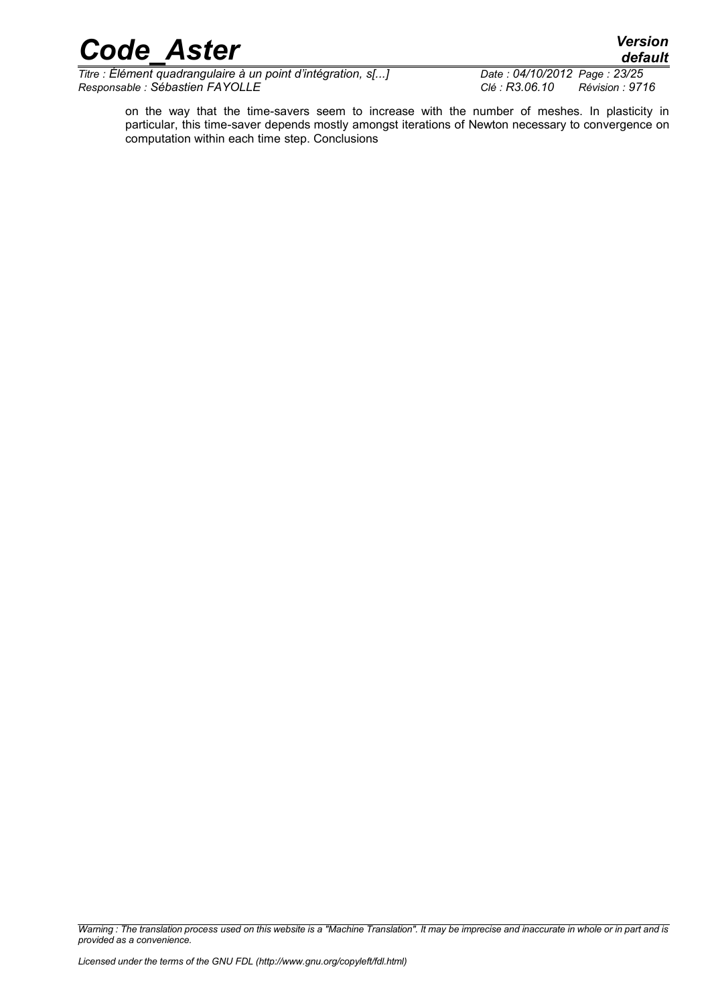*Titre : Élément quadrangulaire à un point d'intégration, s[...] Date : 04/10/2012 Page : 23/25 Responsable : Sébastien FAYOLLE Clé : R3.06.10 Révision : 9716*

*default*

on the way that the time-savers seem to increase with the number of meshes. In plasticity in particular, this time-saver depends mostly amongst iterations of Newton necessary to convergence on computation within each time step. Conclusions

*Warning : The translation process used on this website is a "Machine Translation". It may be imprecise and inaccurate in whole or in part and is provided as a convenience.*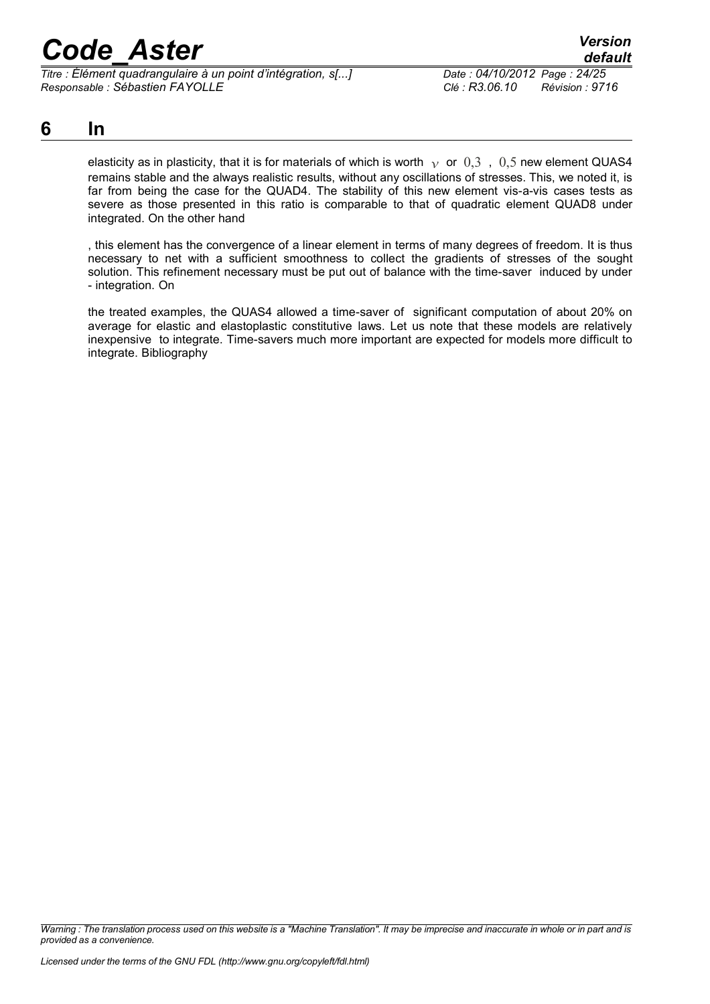*Titre : Élément quadrangulaire à un point d'intégration, s[...] Date : 04/10/2012 Page : 24/25 Responsable : Sébastien FAYOLLE Clé : R3.06.10 Révision : 9716*

**6 In**

elasticity as in plasticity, that it is for materials of which is worth  $v$  or 0,3, 0,5 new element QUAS4 remains stable and the always realistic results, without any oscillations of stresses. This, we noted it, is far from being the case for the QUAD4. The stability of this new element vis-a-vis cases tests as severe as those presented in this ratio is comparable to that of quadratic element QUAD8 under integrated. On the other hand

, this element has the convergence of a linear element in terms of many degrees of freedom. It is thus necessary to net with a sufficient smoothness to collect the gradients of stresses of the sought solution. This refinement necessary must be put out of balance with the time-saver induced by under - integration. On

the treated examples, the QUAS4 allowed a time-saver of significant computation of about 20% on average for elastic and elastoplastic constitutive laws. Let us note that these models are relatively inexpensive to integrate. Time-savers much more important are expected for models more difficult to integrate. Bibliography

*Warning : The translation process used on this website is a "Machine Translation". It may be imprecise and inaccurate in whole or in part and is provided as a convenience.*